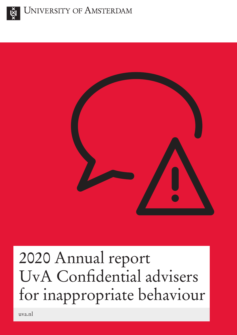



# 2020 Annual report UvA Confidential advisers for inappropriate behaviour

uva.nl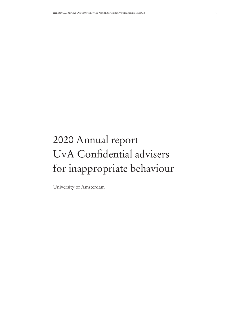## 2020 Annual report UvA Confidential advisers for inappropriate behaviour

University of Amsterdam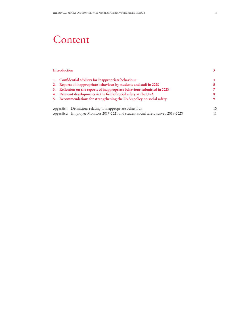### Content

| Introduction                                                                      |    |  |  |  |
|-----------------------------------------------------------------------------------|----|--|--|--|
| 1. Confidential advisers for inappropriate behaviour                              |    |  |  |  |
| 2. Reports of inappropriate behaviour by students and staff in 2020               |    |  |  |  |
| 3. Reflection on the reports of inappropriate behaviour submitted in 2020         |    |  |  |  |
| 4. Relevant developments in the field of social safety at the UvA                 |    |  |  |  |
| 5. Recommendations for strengthening the UvA's policy on social safety            |    |  |  |  |
| Appendix 1 Definitions relating to inappropriate behaviour                        | 10 |  |  |  |
| Appendix 2 Employee Monitors 2017-2021 and student social safety survey 2019-2020 |    |  |  |  |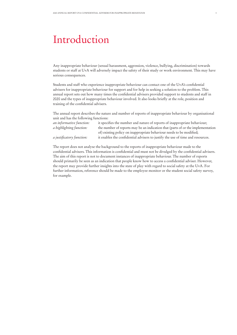### Introduction

Any inappropriate behaviour (sexual harassment, aggression, violence, bullying, discrimination) towards students or staff at UvA will adversely impact the safety of their study or work environment. This may have serious consequences.

Students and staff who experience inappropriate behaviour can contact one of the UvA's confidential advisers for inappropriate behaviour for support and for help in seeking a solution to the problem. This annual report sets out how many times the confidential advisers provided support to students and staff in 2020 and the types of inappropriate behaviour involved. It also looks briefly at the role, position and training of the confidential advisers.

The annual report describes the nature and number of reports of inappropriate behaviour by organisational unit and has the following functions:

| it specifies the number and nature of reports of inappropriate behaviour;       |
|---------------------------------------------------------------------------------|
| the number of reports may be an indication that (parts of or the implementation |
| of) existing policy on inappropriate behaviour needs to be modified;            |
| it enables the confidential advisers to justify the use of time and resources.  |
|                                                                                 |

The report does not analyse the background to the reports of inappropriate behaviour made to the confidential advisers. This information is confidential and must not be divulged by the confidential advisers. The aim of this report is not to document instances of inappropriate behaviour. The number of reports should primarily be seen as an indication that people know how to access a confidential adviser. However, the report may provide further insights into the state of play with regard to social safety at the UvA. For further information, reference should be made to the employee monitor or the student social safety survey, for example.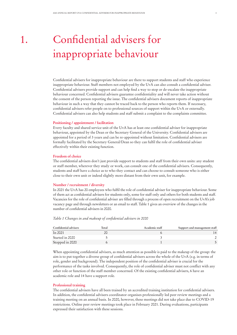### 1. Confidential advisers for inappropriate behaviour

Confidential advisers for inappropriate behaviour are there to support students and staff who experience inappropriate behaviour. Staff members not employed by the UvA can also consult a confidential adviser. Confidential advisers provide support and can help find a way to stop or de-escalate the inappropriate behaviour concerned. Confidential advisers guarantee confidentiality and will never take action without the consent of the person reporting the issue. The confidential advisers document reports of inappropriate behaviour in such a way that they cannot be traced back to the person who reports them. If necessary, confidential advisers refer people on to professional sources of support within the UvA or externally. Confidential advisers can also help students and staff submit a complaint to the complaints committee.

#### **Positioning / appointment / facilitation**

Every faculty and shared service unit of the UvA has at least one confidential adviser for inappropriate behaviour, appointed by the Dean or the Secretary General of the University. Confidential advisers are appointed for a period of 3 years and can be re-appointed without limitation. Confidential advisers are formally facilitated by the Secretary General/Dean so they can fulfil the role of confidential adviser effectively within their existing function.

#### **Freedom of choice**

The confidential advisers don't just provide support to students and staff from their own units: any student or staff member, wherever they study or work, can consult one of the confidential advisers. Consequently, students and staff have a choice as to who they contact and can choose to consult someone who is either close to their own unit or indeed slightly more distant from their own unit, for example.

#### **Number / recruitment / diversity**

In 2021 the UvA has 20 employees who fulfil the role of confidential adviser for inappropriate behaviour. Some of them act as confidential advisers for students only, some for staff only and others for both students and staff. Vacancies for the role of confidential adviser are filled through a process of open recruitment on the UvA's job vacancy page and through newsletters or an email to staff. Table 1 gives an overview of the changes in the number of confidential advisers in 2020.

#### *Table 1 Changes in and makeup of confidential advisers in 2020*

| Confidential advisers | Total | Academic staff | Support and management staff |
|-----------------------|-------|----------------|------------------------------|
| In 2021               |       |                | $\overline{14}$              |
| Started in 2020       |       |                |                              |
| Stopped in 2020       |       |                |                              |

When appointing confidential advisers, as much attention as possible is paid to the makeup of the group: the aim is to put together a diverse group of confidential advisers across the whole of the UvA (e.g. in terms of role, gender and background). The independent position of the confidential adviser is crucial for the performance of the tasks involved. Consequently, the role of confidential adviser must not conflict with any other role or function of the staff member concerned. Of the existing confidential advisers, 6 have an academic role and 14 have a support role.

#### **Professional training**

The confidential advisers have all been trained by an accredited training institution for confidential advisers. In addition, the confidential advisers coordinator organises professionally led peer review meetings and a training meeting on an annual basis. In 2020, however, these meetings did not take place due to COVID-19 restrictions. Online peer review meetings took place in February 2021. During evaluations, participants expressed their satisfaction with these sessions.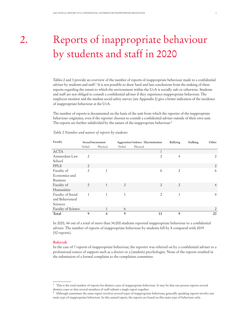### 2. Reports of inappropriate behaviour by students and staff in 2020

Tables 2 and 3 provide an overview of the number of reports of inappropriate behaviour made to a confidential adviser by students and staff.<sup>1</sup> It is not possible to draw hard and fast conclusions from the making of these reports regarding the extent to which the environment within the UvA is socially safe or otherwise. Students and staff are not obliged to consult a confidential adviser if they experience inappropriate behaviour. The employee monitor and the student social safety survey (see Appendix 2) give a better indication of the incidence of inappropriate behaviour at the UvA.

The number of reports is documented on the basis of the unit from which the reporter of the inappropriate behaviour originates, even if the reporter chooses to consult a confidential adviser outside of their own unit. The reports are further subdivided by the nature of the inappropriate behaviour.<sup>2</sup>

#### *Table 2 Number and nature of reports by students*

| Faculty            |                | Sexual harassment | Aggression/violence Discrimination |                | Bullying       | Stalking | Other          |
|--------------------|----------------|-------------------|------------------------------------|----------------|----------------|----------|----------------|
|                    | Verbal         | Physical          | Verbal                             | Physical       |                |          |                |
| <b>ACTA</b>        |                |                   |                                    | 1              |                |          |                |
| Amsterdam Law      | $\overline{2}$ |                   |                                    | 2              | $\overline{4}$ |          | 2              |
| School             |                |                   |                                    |                |                |          |                |
| PPLE               | $\overline{2}$ |                   |                                    |                |                |          | $\overline{2}$ |
| Faculty of         | $\overline{2}$ | 1                 |                                    | 6              | $\overline{2}$ |          | 6              |
| Economics and      |                |                   |                                    |                |                |          |                |
| <b>Business</b>    |                |                   |                                    |                |                |          |                |
| Faculty of         | $\overline{2}$ | 1                 | 2                                  | $\overline{2}$ | $\overline{2}$ |          | $\overline{4}$ |
| Humanities         |                |                   |                                    |                |                |          |                |
| Faculty of Social  | $\mathbf{1}$   | 1                 | 1                                  | $\overline{2}$ | 1              |          | $\overline{4}$ |
| and Behavioural    |                |                   |                                    |                |                |          |                |
| Sciences           |                |                   |                                    |                |                |          |                |
| Faculty of Science |                | 1                 | 6                                  |                |                |          | 2              |
| Total              | 9              | 4                 | 9                                  | 13             | 9              |          | 20             |

In 2020, 44 out of a total of more than 34,000 students reported inappropriate behaviour to a confidential adviser. The number of reports of inappropriate behaviour by students fell by 8 compared with 2019 (52 reports).

#### **Referrals**

In the case of 7 reports of inappropriate behaviour, the reporter was referred on by a confidential adviser to a professional source of support such as a doctor or a (student) psychologist. None of the reports resulted in the submission of a formal complaint to the complaints committee.

<sup>&</sup>lt;sup>1</sup> This is the total number of reports for distinct cases of inappropriate behaviour. It may be that one person reports several distinct cases or that several members of staff submit a single report together.

 $2$  Although sometimes the same report involves several types of inappropriate behaviour, generally speaking reports involve one main type of inappropriate behaviour. In this annual report, the reports are based on this main type of behaviour only.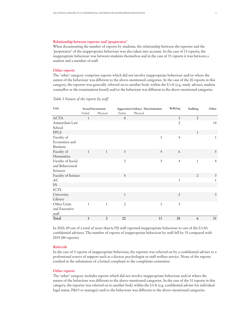#### **Relationship between reporter and 'perpetrator'**

When documenting the number of reports by students, the relationship between the reporter and the 'perpetrator' of the inappropriate behaviour was also taken into account. In the case of 13 reports, the inappropriate behaviour was between students themselves and in the case of 31 reports it was between a student and a member of staff.

#### **Other reports**

The 'other' category comprises reports which did not involve inappropriate behaviour and/or where the nature of the behaviour was different to the above-mentioned categories. In the case of the 20 reports in this category, the reporter was generally referred on to another body within the UvA (e.g. study adviser, student counsellor or the examinations board) and/or the behaviour was different to the above-mentioned categories.

| Unit                   | Sexual harassment |                | Aggression/violence Discrimination |                | <b>Bullying</b> | Stalking       | Other          |
|------------------------|-------------------|----------------|------------------------------------|----------------|-----------------|----------------|----------------|
|                        | Verbal            | Physical       | Verbal                             | Physical       |                 |                |                |
| <b>ACTA</b>            | 1                 |                | 8                                  |                | 3               | $\overline{2}$ |                |
| Amsterdam Law          |                   |                |                                    |                | $\overline{2}$  |                | 14             |
| School                 |                   |                |                                    |                |                 |                |                |
| PPLE                   |                   |                |                                    |                |                 | $\mathbf{1}$   |                |
| Faculty of             |                   |                |                                    | 3              | $\overline{4}$  |                | $\mathbf{1}$   |
| Economics and          |                   |                |                                    |                |                 |                |                |
| <b>Business</b>        |                   |                |                                    |                |                 |                |                |
| Faculty of             | 1                 | $\mathbf{1}$   | $\mathfrak{Z}$                     | $\overline{4}$ | 6               |                | 5              |
| Humanities             |                   |                |                                    |                |                 |                |                |
| Faculty of Social      |                   |                | $\mathfrak{Z}$                     | 3              | $\overline{4}$  | 1              | $\overline{4}$ |
| and Behavioural        |                   |                |                                    |                |                 |                |                |
| Sciences               |                   |                |                                    |                |                 |                |                |
| Faculty of Science     |                   |                | 5                                  |                |                 | $\sqrt{2}$     | $\mathfrak{Z}$ |
| $\mathbf{A}\mathbf{C}$ |                   |                |                                    |                | $\mathbf{1}$    |                | 1              |
| <b>FS</b>              |                   |                |                                    |                |                 |                |                |
| <b>ICTS</b>            |                   |                |                                    |                |                 |                |                |
| University             |                   |                | $\mathbf{1}$                       |                | $\overline{2}$  |                | $\mathfrak{Z}$ |
| Library                |                   |                |                                    |                |                 |                |                |
| Other Units            | $\mathbf{1}$      | $\mathbf{1}$   | $\overline{2}$                     | $\mathbf{1}$   | 3               |                |                |
| and Executive          |                   |                |                                    |                |                 |                |                |
| staff                  |                   |                |                                    |                |                 |                |                |
| Total                  | 3                 | $\overline{2}$ | 22                                 | 11             | 25              | 6              | 31             |

*Table 3 Nature of the reports by staff* 

In 2020, 69 out of a total of more than 6,700 staff reported inappropriate behaviour to one of the UvA's confidential advisers. The number of reports of inappropriate behaviour by staff fell by 15 compared with 2019 (84 reports).

#### **Referrals**

In the case of 3 reports of inappropriate behaviour, the reporter was referred on by a confidential adviser to a professional source of support such as a doctor, psychologist or staff welfare service. None of the reports resulted in the submission of a formal complaint to the complaints committee.

#### **Other reports**

The 'other' category includes reports which did not involve inappropriate behaviour and/or where the nature of the behaviour was different to the above-mentioned categories. In the case of the 31 reports in this category, the reporter was referred on to another body within the UvA (e.g. confidential adviser for individual legal status, P&O or manager) and/or the behaviour was different to the above-mentioned categories.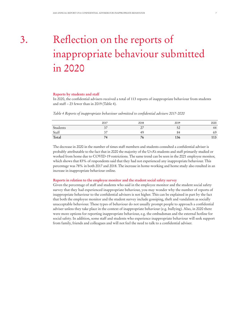### 3. Reflection on the reports of inappropriate behaviour submitted in 2020

#### **Reports by students and staff**

In 2020, the confidential advisers received a total of 113 reports of inappropriate behaviour from students and staff – 23 fewer than in 2019 (Table 4).

*Table 4 Reports of inappropriate behaviour submitted to confidential advisers 2017-2020*

|          | 2017   | 2018                                 | 2019 | 2020 |
|----------|--------|--------------------------------------|------|------|
| Students | $\cup$ | $\overline{\phantom{a}}$<br><u>_</u> | ◡    | 44   |
| Staff    |        | 49                                   |      | 69   |
| Total    | 74     | / 6                                  | 156  | 113  |

The decrease in 2020 in the number of times staff members and students consulted a confidential adviser is probably attributable to the fact that in 2020 the majority of the UvA's students and staff primarily studied or worked from home due to COVID-19 restrictions. The same trend can be seen in the 2021 employee monitor, which shows that 83% of respondents said that they had not experienced any inappropriate behaviour. This percentage was 78% in both 2017 and 2018. The increase in home-working and home study also resulted in an increase in inappropriate behaviour online.

#### **Reports in relation to the employee monitor and the student social safety survey**

Given the percentage of staff and students who said in the employee monitor and the student social safety survey that they had experienced inappropriate behaviour, you may wonder why the number of reports of inappropriate behaviour to the confidential advisers is not higher. This can be explained in part by the fact that both the employee monitor and the student survey include gossiping, theft and vandalism as socially unacceptable behaviour. These types of behaviour do not usually prompt people to approach a confidential adviser unless they take place in the context of inappropriate behaviour (e.g. bullying). Also, in 2020 there were more options for reporting inappropriate behaviour, e.g. the ombudsman and the external hotline for social safety. In addition, some staff and students who experience inappropriate behaviour will seek support from family, friends and colleagues and will not feel the need to talk to a confidential adviser.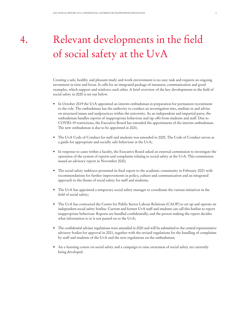### 4. Relevant developments in the field of social safety at the UvA

Creating a safe, healthy and pleasant study and work environment is no easy task and requires an ongoing investment in time and focus. It calls for an integrated package of measures, communication and good examples, which support and reinforce each other. A brief overview of the key developments in the field of social safety in 2020 is set out below.

- In October 2019 the UvA appointed an interim ombudsman in preparation for permanent recruitment to the role. The ombudsman has the authority to conduct an investigation into, mediate in and advise on structural issues and malpractices within the university. As an independent and impartial party, the ombudsman handles reports of inappropriate behaviour and tip-offs from students and staff. Due to COVID-19 restrictions, the Executive Board has extended the appointment of the interim ombudsman. The new ombudsman is due to be appointed in 2021;
- The UvA Code of Conduct for staff and students was amended in 2020. The Code of Conduct serves as a guide for appropriate and socially safe behaviour at the UvA;
- In response to cases within a faculty, the Executive Board asked an external commission to investigate the operation of the system of reports and complaints relating to social safety at the UvA. This commission issued an advisory report in November 2020;
- The social safety taskforce presented its final report to the academic community in February 2021 with recommendations for further improvements in policy, culture and communication and an integrated approach to the theme of social safety for staff and students;
- The UvA has appointed a temporary social safety manager to coordinate the various initiatives in the field of social safety;
- The UvA has contracted the Centre for Public Sector Labour Relations (CAOP) to set up and operate an independent social safety hotline. Current and former UvA staff and students can call this hotline to report inappropriate behaviour. Reports are handled confidentially, and the person making the report decides what information is or is not passed on to the UvA;
- The confidential adviser regulations were amended in 2020 and will be submitted to the central representative advisory bodies for approval in 2021, together with the revised regulations for the handling of complaints by staff and students of the UvA and the new regulations on the ombudsman;
- An e-learning course on social safety and a campaign to raise awareness of social safety are currently being developed.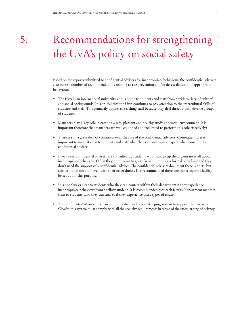## 5. Recommendations for strengthening the UvA's policy on social safety

Based on the reports submitted to confidential advisers for inappropriate behaviour, the confidential advisers also make a number of recommendations relating to the prevention and/or de-escalation of inappropriate behaviour:

- The UvA is an international university and is home to students and staff from a wide variety of cultural and social backgrounds. It is crucial that the UvA continues to pay attention to the intercultural skills of students and staff. This primarily applies to teaching staff because they deal directly with diverse groups of students;
- Managers play a key role in creating a safe, pleasant and healthy study and work environment. It is important therefore that managers are well equipped and facilitated to perform this role effectively;
- There is still a great deal of confusion over the role of the confidential advisers. Consequently, it is important to make it clear to students and staff what they can and cannot expect when consulting a confidential adviser;
- Every year, confidential advisers are consulted by students who want to tip the organisation off about inappropriate behaviour. Often they don't want to go as far as submitting a formal complaint and they don't need the support of a confidential adviser. The confidential advisers document these reports, but this task does not fit in well with their other duties. It is recommended therefore that a separate facility be set up for this purpose;
- It is not always clear to students who they can contact within their department if they experience inappropriate behaviour from a fellow student. It is recommended that each faculty/department makes it clear to students who they can turn to if they experience these types of issues;
- The confidential advisers need an administrative and record-keeping system to support their activities. Clearly, this system must comply with all the security requirements in terms of the safeguarding of privacy.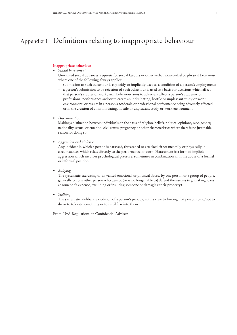### Appendix 1 Definitions relating to inappropriate behaviour

#### **Inappropriate behaviour**

- *• Sexual harassment*
	- Unwanted sexual advances, requests for sexual favours or other verbal, non-verbal or physical behaviour where one of the following always applies:
	- submission to such behaviour is explicitly or implicitly used as a condition of a person's employment;
	- a person's submission to or rejection of such behaviour is used as a basis for decisions which affect that person's studies or work; such behaviour aims to adversely affect a person's academic or professional performance and/or to create an intimidating, hostile or unpleasant study or work environment, or results in a person's academic or professional performance being adversely affected or in the creation of an intimidating, hostile or unpleasant study or work environment.
- *• Discrimination*

Making a distinction between individuals on the basis of religion, beliefs, political opinions, race, gender, nationality, sexual orientation, civil status, pregnancy or other characteristics where there is no justifiable reason for doing so.

*• Aggression and violence* 

Any incident in which a person is harassed, threatened or attacked either mentally or physically in circumstances which relate directly to the performance of work. Harassment is a form of implicit aggression which involves psychological pressure, sometimes in combination with the abuse of a formal or informal position.

*• Bullying* 

The systematic exercising of unwanted emotional or physical abuse, by one person or a group of people, generally on one other person who cannot (or is no longer able to) defend themselves (e.g. making jokes at someone's expense, excluding or insulting someone or damaging their property).

*• Stalking* 

The systematic, deliberate violation of a person's privacy, with a view to forcing that person to do/not to do or to tolerate something or to instil fear into them.

From: UvA Regulations on Confidential Advisers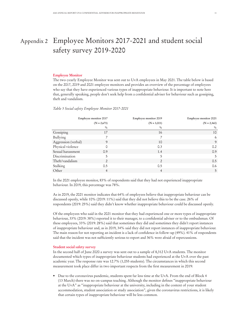### Appendix 2 Employee Monitors 2017-2021 and student social safety survey 2019-2020

#### **Employee Monitor**

The two-yearly Employee Monitor was sent out to UvA employees in May 2021. The table below is based on the 2017, 2019 and 2021 employee monitors and provides an overview of the percentage of employees who say that they have experienced various types of inappropriate behaviour. It is important to note here that, generally speaking, people don't seek help from a confidential adviser for behaviour such as gossiping, theft and vandalism.

#### *Table 5 Social safety Employee Monitor 2017-2021*

| Employee monitor 2017 |                | Employee monitor 2019 | Employee monitor 2021 |
|-----------------------|----------------|-----------------------|-----------------------|
|                       | $(N = 2,673)$  | $(N = 3,001)$         | $(N = 2,360)$         |
|                       | $\%$           | $\%$                  | $\%$                  |
| Gossiping             | 17             | 16                    | 10                    |
| Bullying              |                |                       | 6                     |
| Aggression (verbal)   | 9              | 10                    | 9                     |
| Physical violence     | Ω              | 0.3                   | 0.2                   |
| Sexual harassment     | 0.9            | 1.4                   | 0.9                   |
| Discrimination        | 5              | 5                     | 5                     |
| Theft/vandalism       | $\overline{2}$ | $\overline{2}$        | 0.5                   |
| Stalking              | 0.5            | 0.5                   | 0.6                   |
| Other                 | $\overline{4}$ | 4                     | 5                     |

In the 2021 employee monitor, 83% of respondents said that they had not experienced inappropriate behaviour. In 2019, this percentage was 78%.

As in 2019, the 2021 monitor indicates that 64% of employees believe that inappropriate behaviour can be discussed openly, while 10% (2019: 11%) said that they did not believe this to be the case. 26% of respondents (2019: 25%) said they didn't know whether inappropriate behaviour could be discussed openly.

Of the employees who said in the 2021 monitor that they had experienced one or more types of inappropriate behaviour, 33% (2019: 38%) reported it to their manager, to a confidential adviser or to the ombudsman. Of these employees, 33% (2019: 28%) said that sometimes they did and sometimes they didn't report instances of inappropriate behaviour and, as in 2019, 34% said they did not report instances of inappropriate behaviour. The main reason for not reporting an incident is a lack of confidence in follow-up (49%). 41% of respondents said that the incident was not sufficiently serious to report and 36% were afraid of repercussions.

#### **Student social safety survey**

In the second half of June 2020 a survey was sent out to a sample of 8,312 UvA students. The monitor documented which types of inappropriate behaviour students had experienced at the UvA over the past academic year. The response rate was 12.7% (1,055 students). The circumstances in which this second measurement took place differ in two important respects from the first measurement in 2019:

• Due to the coronavirus pandemic, students spent far less time at the UvA. From the end of Block 4 (13 March) there was no on-campus teaching. Although the monitor defines "inappropriate behaviour at the UvA" as "inappropriate behaviour at the university, including in the context of your student accommodation, student association or study association", given the coronavirus restrictions, it is likely that certain types of inappropriate behaviour will be less common.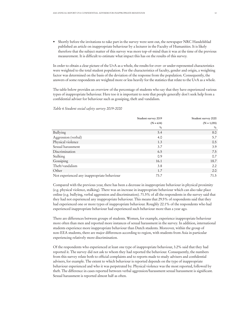• Shortly before the invitations to take part in the survey were sent out, the newspaper NRC Handelsblad published an article on inappropriate behaviour by a lecturer in the Faculty of Humanities. It is likely therefore that the subject matter of this survey was more top-of-mind than it was at the time of the previous measurement. It is difficult to estimate what impact this has on the results of this survey.

In order to obtain a clear picture of the UvA as a whole, the results for over- or under-represented characteristics were weighted to the total student population. For the characteristics of faculty, gender and origin, a weighting factor was determined on the basis of the deviation of the response from the population. Consequently, the answers of some respondents are weighted more or less heavily for the statistics that relate to the UvA as a whole.

The table below provides an overview of the percentage of students who say that they have experienced various types of inappropriate behaviour. Here too it is important to note that people generally don't seek help from a confidential adviser for behaviour such as gossiping, theft and vandalism.

#### *Table 6 Student social safety survey 2019-2020*

|                                             | Student survey 2019 | Student survey 2020 |
|---------------------------------------------|---------------------|---------------------|
|                                             | $(N = 634)$         | $(N = 1,055)$       |
|                                             | $\%$                | $\%$                |
| Bullying                                    | 5.4                 | 8.0                 |
| Aggression (verbal)                         | 4.0                 | 5.7                 |
| Physical violence                           | 1.3                 | 0.5                 |
| Sexual harassment                           | 3.7                 | 3.9                 |
| Discrimination                              | 6.5                 | 7.5                 |
| Stalking                                    | 0.9                 | 0.7                 |
| Gossiping                                   | 16.1                | 18.7                |
| Theft/vandalism                             | 3.8                 | $2.2^{\circ}$       |
| Other                                       | 1.7                 | 2.0                 |
| Not experienced any inappropriate behaviour | 73.7                | 71.5                |

Compared with the previous year, there has been a decrease in inappropriate behaviour in physical proximity (e.g. physical violence, stalking). There was an increase in inappropriate behaviour which can also take place online (e.g. bullying, verbal aggression and discrimination). 71.5% of all the respondents in the survey said that they had not experienced any inappropriate behaviour. This means that 29.5% of respondents said that they had experienced one or more types of inappropriate behaviour. Roughly 22.1% of the respondents who had experienced inappropriate behaviour had experienced such behaviour more than a year ago.

There are differences between groups of students. Women, for example, experience inappropriate behaviour more often than men and reported more instances of sexual harassment in the survey. In addition, international students experience more inappropriate behaviour than Dutch students. Moreover, within the group of non-EEA students, there are major differences according to region, with students from Asia in particular experiencing relatively more discrimination.

Of the respondents who experienced at least one type of inappropriate behaviour, 3.2% said that they had reported it. The survey did not ask to whom they had reported the behaviour. Consequently, the numbers from this survey relate both to official complaints and to reports made to study advisers and confidential advisers, for example. The extent to which behaviour is reported depends on the type of inappropriate behaviour experienced and who it was perpetrated by. Physical violence was the most reported, followed by theft. The difference in cases reported between verbal aggression/harassment sexual harassment is significant. Sexual harassment is reported almost half as often.